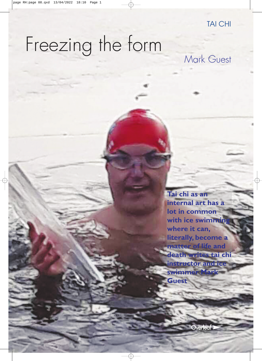# Freezing the form Mark Guest

**Tai chi as an internal art has a lot in common with ice swimming where it can, literally, become a matter of life and death writes tai chi instructor and ice swimmer Mark Guest**

**Overlea**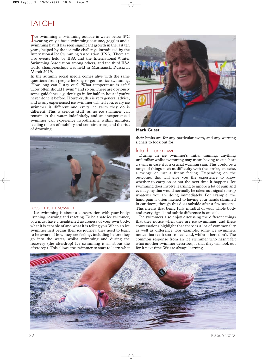## TAI CHI

**The swimming is swimming outside in water below 5°C**<br>wearing only a basic swimming costume, goggles and a wearing only a basic swimming costume, goggles and a swimming hat. It has seen significant growth in the last ten years, helped by the ice mile challenge introduced by the International Ice Swimming Association (IISA).There are also events held by IISA and the International Winter Swimming Association among others, and the third IISA world championships was held in Murmansk, Russia in March 2019.

In the autumn social media comes alive with the same questions from people looking to get into ice swimming. 'How long can I stay out?' 'What temperature is safe?' 'How often should I swim?' and so on.There are obviously some guidelines e.g. don't go in for half an hour if you've never done it before. However, this is very general advice, and as any experienced ice swimmer will tell you, every ice swimmer is different and every ice swim they do is different. This is serious stuff, as no ice swimmer can remain in the water indefinitely, and an inexperienced swimmer can experience hypothermia within minutes, leading to loss of mobility and consciousness, and the risk of drowning.



#### Lesson is in session

Ice swimming is about a conversation with your body: listening, learning and reacting.To be a safe ice swimmer, you must have a heightened awareness of your own body, what it is capable of and what it is telling you.When an ice swimmer first begins their ice journey, they need to learn to be aware of how they are feeling, including before they go into the water, whilst swimming and during the recovery (the afterdrop! Ice swimming is all about the afterdrop).This allows the swimmer to start to learn what



**Mark Guest**

their limits are for any particular swim, and any warning signals to look out for.

### Into the unknown

During an ice swimmer's initial training, anything unfamiliar whilst swimming may mean having to cut short a swim in case it is a crucial warning sign.This could be a range of things such as difficulty with the stroke, an ache, a twinge or just a funny feeling. Depending on the outcome, this will give you the experience to know whether to carry on or not the next time it happens. Ice swimming does involve learning to ignore a lot of pain and even agony that would normally be taken as a signal to stop whatever you are doing immediately. For example, the hand pain is often likened to having your hands slammed in car doors, though this does subside after a few seasons. This means that being fully mindful of your whole body and every signal and subtle difference is crucial.

Ice swimmers also enjoy discussing the different things that they notice when they are ice swimming, and these conversations highlight that there is a lot of commonality as well as difference. For example, some ice swimmers notice that teeth start to feel cold, whilst others don't.The common response from an ice swimmer who hasn't felt what another swimmer describes, is that they will look out for it next time.We are always learning.